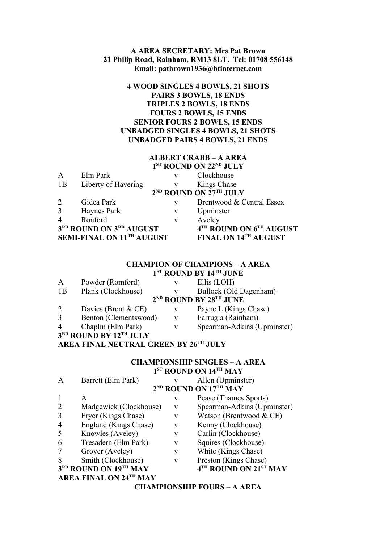### **A AREA SECRETARY: Mrs Pat Brown 21 Philip Road, Rainham, RM13 8LT. Tel: 01708 556148 Email: patbrown1936@btinternet.com**

# **4 WOOD SINGLES 4 BOWLS, 21 SHOTS PAIRS 3 BOWLS, 18 ENDS TRIPLES 2 BOWLS, 18 ENDS FOURS 2 BOWLS, 15 ENDS SENIOR FOURS 2 BOWLS, 15 ENDS UNBADGED SINGLES 4 BOWLS, 21 SHOTS UNBADGED PAIRS 4 BOWLS, 21 ENDS**

# **ALBERT CRABB – A AREA**

|                     |   | 1 <sup>ST</sup> ROUND ON 22 <sup>ND</sup> JULY       |
|---------------------|---|------------------------------------------------------|
| Elm Park            | v | Clockhouse                                           |
| Liberty of Havering | V | Kings Chase                                          |
|                     |   | 2 <sup>ND</sup> ROUND ON 27TH JULY                   |
| Gidea Park          | V | Brentwood & Central Essex                            |
| Haynes Park         | v | Upminster                                            |
| Ronford             | V | Aveley                                               |
|                     |   | 4TH ROUND ON 6TH AUGUST                              |
|                     |   | FINAL ON 14TH AUGUST                                 |
|                     |   | 3RD ROUND ON 3RD AUGUST<br>SEMI-FINAL ON 11TH AUGUST |

## **CHAMPION OF CHAMPIONS – A AREA 1 ST ROUND BY 14TH JUNE**

| A              | Powder (Romford)       | V | Ellis (LOH)                      |
|----------------|------------------------|---|----------------------------------|
| 1B             | Plank (Clockhouse)     |   | Bullock (Old Dagenham)           |
|                |                        |   | $2^{ND}$ ROUND BY $28^{TH}$ JUNE |
| 2              | Davies (Brent $& CE$ ) | V | Payne L (Kings Chase)            |
| 3              | Benton (Clementswood)  | V | Farrugia (Rainham)               |
| $\overline{4}$ | Chaplin (Elm Park)     | V | Spearman-Adkins (Upminster)      |
|                | 3RD ROUND BY 12TH JULY |   |                                  |

# **AREA FINAL NEUTRAL GREEN BY 26TH JULY**

#### **CHAMPIONSHIP SINGLES – A AREA 1 ST ROUND ON 14TH MAY** A Barrett (Elm Park) v Allen (Upminster)

|                |                               |              | <b>CHAMPIONSHIP FOURS - A AREA</b> |
|----------------|-------------------------------|--------------|------------------------------------|
|                | <b>AREA FINAL ON 24TH MAY</b> |              |                                    |
|                | 3RD ROUND ON 19TH MAY         |              | 4TH ROUND ON 21ST MAY              |
| 8              | Smith (Clockhouse)            | V            | Preston (Kings Chase)              |
| 7              | Grover (Aveley)               | V            | White (Kings Chase)                |
| 6              | Tresadern (Elm Park)          | V            | Squires (Clockhouse)               |
| 5              | Knowles (Aveley)              | $\mathbf{V}$ | Carlin (Clockhouse)                |
| $\overline{4}$ | England (Kings Chase)         | V            | Kenny (Clockhouse)                 |
| 3              | Fryer (Kings Chase)           | V            | Watson (Brentwood & CE)            |
| $\overline{2}$ | Madgewick (Clockhouse)        | V            | Spearman-Adkins (Upminster)        |
|                | A                             | V            | Pease (Thames Sports)              |
|                |                               |              | 2 <sup>ND</sup> ROUND ON 17TH MAY  |
|                |                               |              |                                    |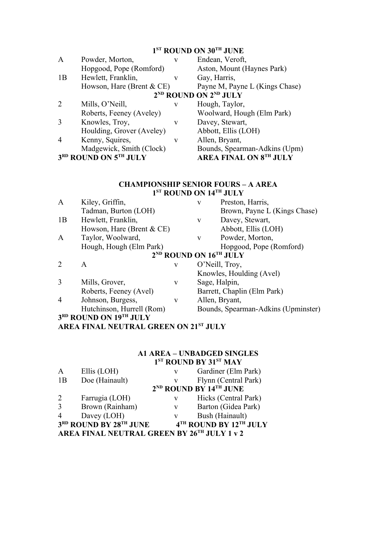#### **1 ST ROUND ON 30TH JUNE**

| $\mathbf{A}$   | Powder, Morton,              | v | Endean, Veroft,                               |
|----------------|------------------------------|---|-----------------------------------------------|
|                | Hopgood, Pope (Romford)      |   | Aston, Mount (Haynes Park)                    |
| 1B             | Hewlett, Franklin,           | V | Gay, Harris,                                  |
|                | Howson, Hare (Brent $& CE$ ) |   | Payne M, Payne L (Kings Chase)                |
|                |                              |   | 2 <sup>ND</sup> ROUND ON 2 <sup>ND</sup> JULY |
| 2              | Mills, O'Neill,              | v | Hough, Taylor,                                |
|                | Roberts, Feeney (Aveley)     |   | Woolward, Hough (Elm Park)                    |
| 3              | Knowles, Troy,               | V | Davey, Stewart,                               |
|                | Houlding, Grover (Aveley)    |   | Abbott, Ellis (LOH)                           |
| $\overline{4}$ | Kenny, Squires,              | v | Allen, Bryant,                                |
|                | Madgewick, Smith (Clock)     |   | Bounds, Spearman-Adkins (Upm)                 |
|                | 3RD ROUND ON 5TH JULY        |   | <b>AREA FINAL ON 8TH JULY</b>                 |

#### **CHAMPIONSHIP SENIOR FOURS – A AREA 1 ST ROUND ON 14TH JULY**

| Kiley, Griffin,           |   | $\mathbf{V}$                 | Preston, Harris,                               |
|---------------------------|---|------------------------------|------------------------------------------------|
| Tadman, Burton (LOH)      |   |                              | Brown, Payne L (Kings Chase)                   |
| Hewlett, Franklin,        |   | V                            | Davey, Stewart,                                |
|                           |   |                              | Abbott, Ellis (LOH)                            |
| Taylor, Woolward,         |   | V                            | Powder, Morton,                                |
| Hough, Hough (Elm Park)   |   |                              | Hopgood, Pope (Romford)                        |
|                           |   |                              |                                                |
| A                         | V |                              | O'Neill, Troy,                                 |
|                           |   |                              | Knowles, Houlding (Avel)                       |
| Mills, Grover,            | V | Sage, Halpin,                |                                                |
| Roberts, Feeney (Avel)    |   |                              | Barrett, Chaplin (Elm Park)                    |
| Johnson, Burgess,         | V |                              | Allen, Bryant,                                 |
| Hutchinson, Hurrell (Rom) |   |                              | Bounds, Spearman-Adkins (Upminster)            |
| 3RD ROUND ON 19TH JULY    |   |                              |                                                |
|                           |   | Howson, Hare (Brent $& CE$ ) | 2 <sup>ND</sup> ROUND ON 16 <sup>TH</sup> JULY |

# **AREA FINAL NEUTRAL GREEN ON 21ST JULY**

# **A1 AREA – UNBADGED SINGLES 1 ST ROUND BY 31ST MAY**

| A              | Ellis (LOH)                                 | V | Gardiner (Elm Park)                            |
|----------------|---------------------------------------------|---|------------------------------------------------|
| 1B             | Doe (Hainault)                              |   | Flynn (Central Park)                           |
|                |                                             |   | 2 <sup>ND</sup> ROUND BY 14 <sup>TH</sup> JUNE |
| 2              | Farrugia (LOH)                              | v | Hicks (Central Park)                           |
| 3              | Brown (Rainham)                             | V | Barton (Gidea Park)                            |
| $\overline{4}$ | Davey (LOH)                                 | v | Bush (Hainault)                                |
|                | 3RD ROUND BY 28TH JUNE                      |   | 4TH ROUND BY 12TH JULY                         |
|                | AREA FINAL NEUTRAL GREEN BY 26TH JULY 1 v 2 |   |                                                |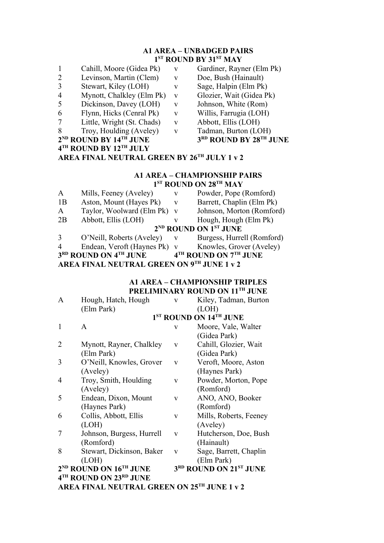# **A1 AREA – UNBADGED PAIRS 1 ST ROUND BY 31ST MAY**

- 1 Cahill, Moore (Gidea Pk) v Gardiner, Rayner (Elm Pk)<br>2 Levinson, Martin (Clem) v Doe, Bush (Hainault)
- 2 Levinson, Martin (Clem) v
- 3 Stewart, Kiley (LOH) v Sage, Halpin (Elm Pk)
- 4 Mynott, Chalkley (Elm Pk) v Glozier, Wait (Gidea Pk)
- 5 Dickinson, Davey (LOH) v Johnson, White (Rom)
- 6 Flynn, Hicks (Cenral Pk) v Willis, Farrugia (LOH)
- 7 Little, Wright (St. Chads) v Abbott, Ellis (LOH)
- 8 Troy, Houlding (Aveley) v Tadman, Burton (LOH)
- **2 ND ROUND BY 14TH JUNE 3**
- **4 TH ROUND BY 12TH JULY**
- 
- 
- 
- 
- 
- 
- 
- 
- **RD ROUND BY 28TH JUNE**
- **AREA FINAL NEUTRAL GREEN BY 26TH JULY 1 v 2**

# **A1 AREA – CHAMPIONSHIP PAIRS 1 ST ROUND ON 28TH MAY**

| A         | Mills, Feeney (Aveley)              | V | Powder, Pope (Romford)                                 |
|-----------|-------------------------------------|---|--------------------------------------------------------|
| 1B        | Aston, Mount (Hayes Pk)             | V | Barrett, Chaplin (Elm Pk)                              |
| A         | Taylor, Woolward (Elm Pk) v         |   | Johnson, Morton (Romford)                              |
| 2B        | Abbott, Ellis (LOH)                 |   | Hough, Hough (Elm Pk)                                  |
|           |                                     |   | 2 <sup>ND</sup> ROUND ON 1 <sup>ST</sup> JUNE          |
| 3         | O'Neill, Roberts (Aveley)           | V | Burgess, Hurrell (Romford)                             |
| $\Lambda$ | $Endean$ Varoft (Haynas $D_1$ ) $V$ |   | $V_{\text{now}}$ or $G_{\text{row}}(A_{\text{value}})$ |

Endean, Veroft (Haynes Pk) v Knowles, Grover (Aveley)

**3 RD ROUND ON 4TH JUNE 4 TH ROUND ON 7TH JUNE**

**AREA FINAL NEUTRAL GREEN ON 9TH JUNE 1 v 2**

### **A1 AREA – CHAMPIONSHIP TRIPLES PRELIMINARY ROUND ON 11TH JUNE**

| A | Hough, Hatch, Hough                         | V | Kiley, Tadman, Burton              |
|---|---------------------------------------------|---|------------------------------------|
|   | (Elm Park)                                  |   | (LOH)                              |
|   |                                             |   | 1 <sup>ST</sup> ROUND ON 14TH JUNE |
| 1 | A                                           | V | Moore, Vale, Walter                |
|   |                                             |   | (Gidea Park)                       |
| 2 | Mynott, Rayner, Chalkley                    | V | Cahill, Glozier, Wait              |
|   | (Elm Park)                                  |   | (Gidea Park)                       |
| 3 | O'Neill, Knowles, Grover                    | V | Veroft, Moore, Aston               |
|   | (Aveley)                                    |   | (Haynes Park)                      |
| 4 | Troy, Smith, Houlding                       | V | Powder, Morton, Pope               |
|   | (Aveley)                                    |   | (Romford)                          |
| 5 | Endean, Dixon, Mount                        | V | ANO, ANO, Booker                   |
|   | (Haynes Park)                               |   | (Romford)                          |
| 6 | Collis, Abbott, Ellis                       | V | Mills, Roberts, Feeney             |
|   | (LOH)                                       |   | (Aveley)                           |
| 7 | Johnson, Burgess, Hurrell                   | V | Hutcherson, Doe, Bush              |
|   | (Romford)                                   |   | (Hainault)                         |
| 8 | Stewart, Dickinson, Baker                   | V | Sage, Barrett, Chaplin             |
|   | (LOH)                                       |   | (Elm Park)                         |
|   | $2^{ND}$ ROUND ON $16^{TH}$ JUNE            |   | 3RD ROUND ON 21ST JUNE             |
|   | 4TH ROUND ON 23RD JUNE                      |   |                                    |
|   | AREA FINAL NEUTRAL GREEN ON 25TH JUNE 1 v 2 |   |                                    |